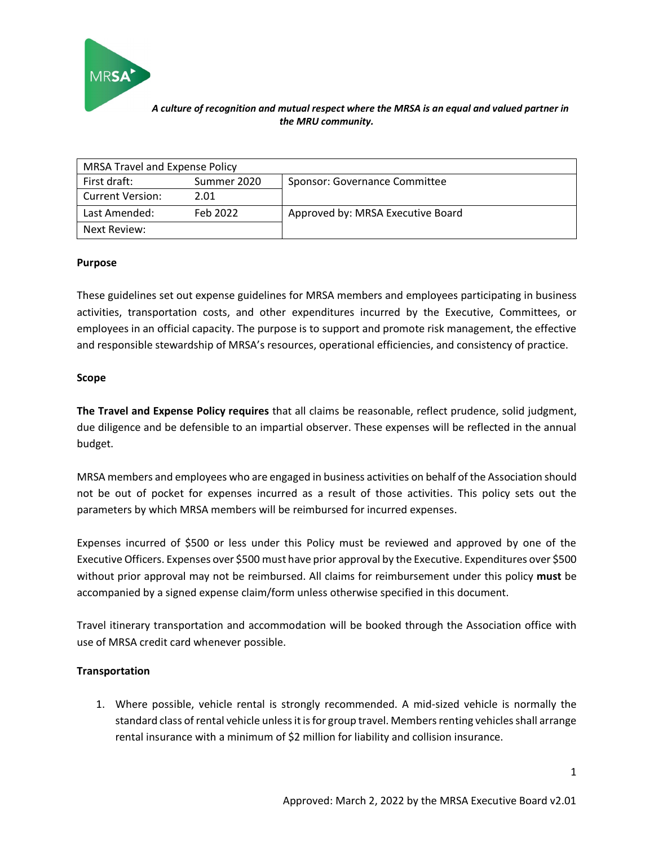

| <b>MRSA Travel and Expense Policy</b> |             |                                   |  |  |
|---------------------------------------|-------------|-----------------------------------|--|--|
| First draft:                          | Summer 2020 | Sponsor: Governance Committee     |  |  |
| <b>Current Version:</b>               | 2.01        |                                   |  |  |
| Last Amended:                         | Feb 2022    | Approved by: MRSA Executive Board |  |  |
| Next Review:                          |             |                                   |  |  |

## **Purpose**

These guidelines set out expense guidelines for MRSA members and employees participating in business activities, transportation costs, and other expenditures incurred by the Executive, Committees, or employees in an official capacity. The purpose is to support and promote risk management, the effective and responsible stewardship of MRSA's resources, operational efficiencies, and consistency of practice.

## **Scope**

**The Travel and Expense Policy requires** that all claims be reasonable, reflect prudence, solid judgment, due diligence and be defensible to an impartial observer. These expenses will be reflected in the annual budget.

MRSA members and employees who are engaged in business activities on behalf of the Association should not be out of pocket for expenses incurred as a result of those activities. This policy sets out the parameters by which MRSA members will be reimbursed for incurred expenses.

Expenses incurred of \$500 or less under this Policy must be reviewed and approved by one of the Executive Officers. Expenses over \$500 must have prior approval by the Executive. Expenditures over \$500 without prior approval may not be reimbursed. All claims for reimbursement under this policy **must** be accompanied by a signed expense claim/form unless otherwise specified in this document.

Travel itinerary transportation and accommodation will be booked through the Association office with use of MRSA credit card whenever possible.

# **Transportation**

1. Where possible, vehicle rental is strongly recommended. A mid-sized vehicle is normally the standard class of rental vehicle unless it is for group travel. Members renting vehicles shall arrange rental insurance with a minimum of \$2 million for liability and collision insurance.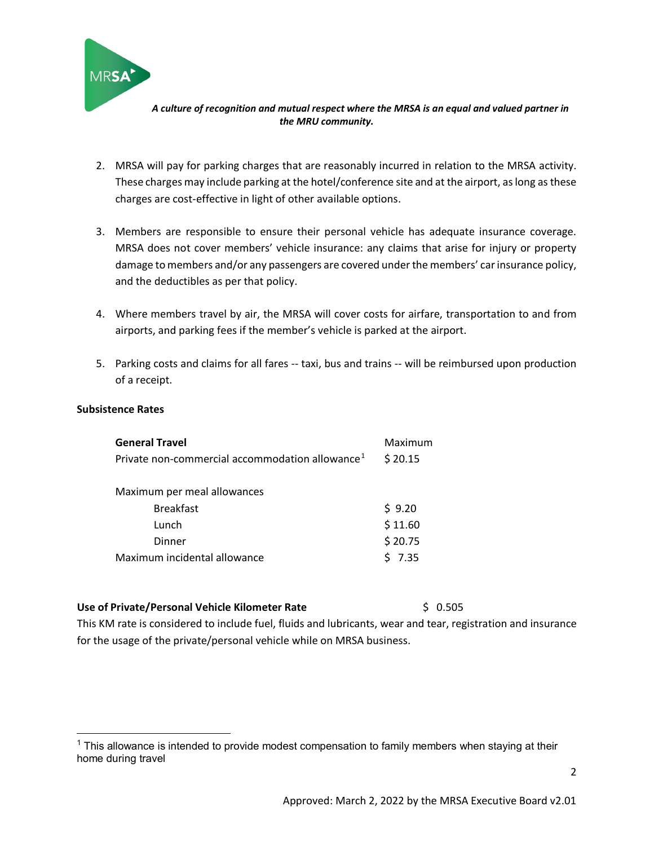

- 2. MRSA will pay for parking charges that are reasonably incurred in relation to the MRSA activity. These charges may include parking at the hotel/conference site and at the airport, as long as these charges are cost-effective in light of other available options.
- 3. Members are responsible to ensure their personal vehicle has adequate insurance coverage. MRSA does not cover members' vehicle insurance: any claims that arise for injury or property damage to members and/or any passengers are covered under the members' car insurance policy, and the deductibles as per that policy.
- 4. Where members travel by air, the MRSA will cover costs for airfare, transportation to and from airports, and parking fees if the member's vehicle is parked at the airport.
- 5. Parking costs and claims for all fares -- taxi, bus and trains -- will be reimbursed upon production of a receipt.

## **Subsistence Rates**

| <b>General Travel</b>                                       | Maximum  |  |  |  |
|-------------------------------------------------------------|----------|--|--|--|
| Private non-commercial accommodation allowance <sup>1</sup> | \$20.15  |  |  |  |
|                                                             |          |  |  |  |
| Maximum per meal allowances                                 |          |  |  |  |
| <b>Breakfast</b>                                            | \$9.20   |  |  |  |
| Lunch                                                       | \$11.60  |  |  |  |
| Dinner                                                      | \$20.75  |  |  |  |
| Maximum incidental allowance                                | $5$ 7.35 |  |  |  |

## **Use of Private/Personal Vehicle Kilometer Rate** \$ 0.505

This KM rate is considered to include fuel, fluids and lubricants, wear and tear, registration and insurance for the usage of the private/personal vehicle while on MRSA business.

<span id="page-1-0"></span> $1$  This allowance is intended to provide modest compensation to family members when staying at their home during travel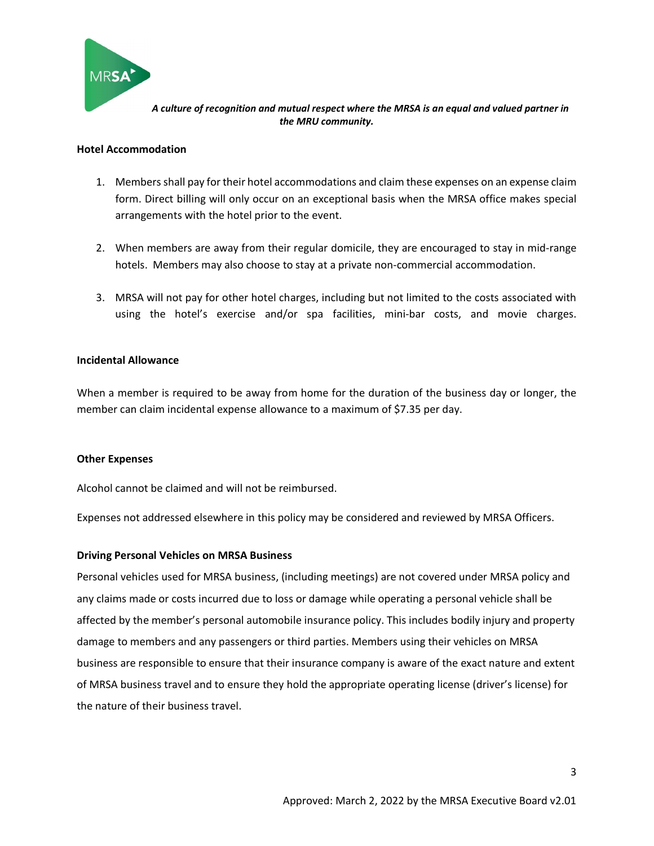

#### **Hotel Accommodation**

- 1. Members shall pay for their hotel accommodations and claim these expenses on an expense claim form. Direct billing will only occur on an exceptional basis when the MRSA office makes special arrangements with the hotel prior to the event.
- 2. When members are away from their regular domicile, they are encouraged to stay in mid-range hotels. Members may also choose to stay at a private non-commercial accommodation.
- 3. MRSA will not pay for other hotel charges, including but not limited to the costs associated with using the hotel's exercise and/or spa facilities, mini-bar costs, and movie charges.

## **Incidental Allowance**

When a member is required to be away from home for the duration of the business day or longer, the member can claim incidental expense allowance to a maximum of \$7.35 per day.

#### **Other Expenses**

Alcohol cannot be claimed and will not be reimbursed.

Expenses not addressed elsewhere in this policy may be considered and reviewed by MRSA Officers.

## **Driving Personal Vehicles on MRSA Business**

Personal vehicles used for MRSA business, (including meetings) are not covered under MRSA policy and any claims made or costs incurred due to loss or damage while operating a personal vehicle shall be affected by the member's personal automobile insurance policy. This includes bodily injury and property damage to members and any passengers or third parties. Members using their vehicles on MRSA business are responsible to ensure that their insurance company is aware of the exact nature and extent of MRSA business travel and to ensure they hold the appropriate operating license (driver's license) for the nature of their business travel.